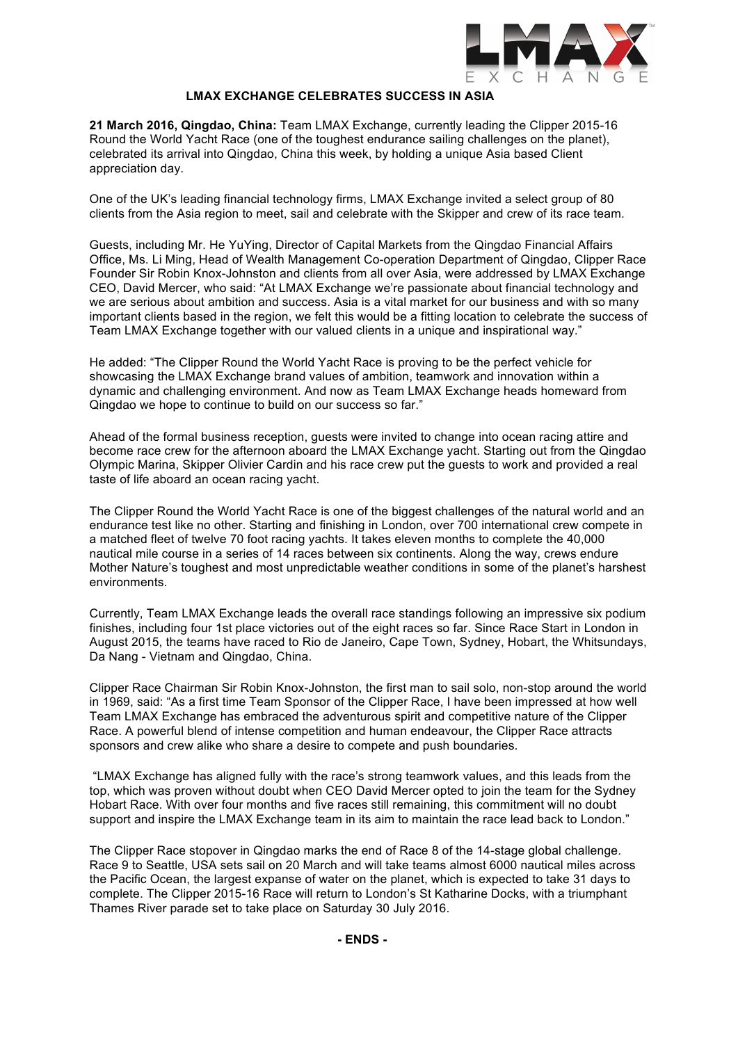

# **LMAX EXCHANGE CELEBRATES SUCCESS IN ASIA**

**21 March 2016, Qingdao, China:** Team LMAX Exchange, currently leading the Clipper 2015-16 Round the World Yacht Race (one of the toughest endurance sailing challenges on the planet), celebrated its arrival into Qingdao, China this week, by holding a unique Asia based Client appreciation day.

One of the UK's leading financial technology firms, LMAX Exchange invited a select group of 80 clients from the Asia region to meet, sail and celebrate with the Skipper and crew of its race team.

Guests, including Mr. He YuYing, Director of Capital Markets from the Qingdao Financial Affairs Office, Ms. Li Ming, Head of Wealth Management Co-operation Department of Qingdao, Clipper Race Founder Sir Robin Knox-Johnston and clients from all over Asia, were addressed by LMAX Exchange CEO, David Mercer, who said: "At LMAX Exchange we're passionate about financial technology and we are serious about ambition and success. Asia is a vital market for our business and with so many important clients based in the region, we felt this would be a fitting location to celebrate the success of Team LMAX Exchange together with our valued clients in a unique and inspirational way."

He added: "The Clipper Round the World Yacht Race is proving to be the perfect vehicle for showcasing the LMAX Exchange brand values of ambition, teamwork and innovation within a dynamic and challenging environment. And now as Team LMAX Exchange heads homeward from Qingdao we hope to continue to build on our success so far."

Ahead of the formal business reception, guests were invited to change into ocean racing attire and become race crew for the afternoon aboard the LMAX Exchange yacht. Starting out from the Qingdao Olympic Marina, Skipper Olivier Cardin and his race crew put the guests to work and provided a real taste of life aboard an ocean racing yacht.

The Clipper Round the World Yacht Race is one of the biggest challenges of the natural world and an endurance test like no other. Starting and finishing in London, over 700 international crew compete in a matched fleet of twelve 70 foot racing yachts. It takes eleven months to complete the 40,000 nautical mile course in a series of 14 races between six continents. Along the way, crews endure Mother Nature's toughest and most unpredictable weather conditions in some of the planet's harshest environments.

Currently, Team LMAX Exchange leads the overall race standings following an impressive six podium finishes, including four 1st place victories out of the eight races so far. Since Race Start in London in August 2015, the teams have raced to Rio de Janeiro, Cape Town, Sydney, Hobart, the Whitsundays, Da Nang - Vietnam and Qingdao, China.

Clipper Race Chairman Sir Robin Knox-Johnston, the first man to sail solo, non-stop around the world in 1969, said: "As a first time Team Sponsor of the Clipper Race, I have been impressed at how well Team LMAX Exchange has embraced the adventurous spirit and competitive nature of the Clipper Race. A powerful blend of intense competition and human endeavour, the Clipper Race attracts sponsors and crew alike who share a desire to compete and push boundaries.

 "LMAX Exchange has aligned fully with the race's strong teamwork values, and this leads from the top, which was proven without doubt when CEO David Mercer opted to join the team for the Sydney Hobart Race. With over four months and five races still remaining, this commitment will no doubt support and inspire the LMAX Exchange team in its aim to maintain the race lead back to London."

The Clipper Race stopover in Qingdao marks the end of Race 8 of the 14-stage global challenge. Race 9 to Seattle, USA sets sail on 20 March and will take teams almost 6000 nautical miles across the Pacific Ocean, the largest expanse of water on the planet, which is expected to take 31 days to complete. The Clipper 2015-16 Race will return to London's St Katharine Docks, with a triumphant Thames River parade set to take place on Saturday 30 July 2016.